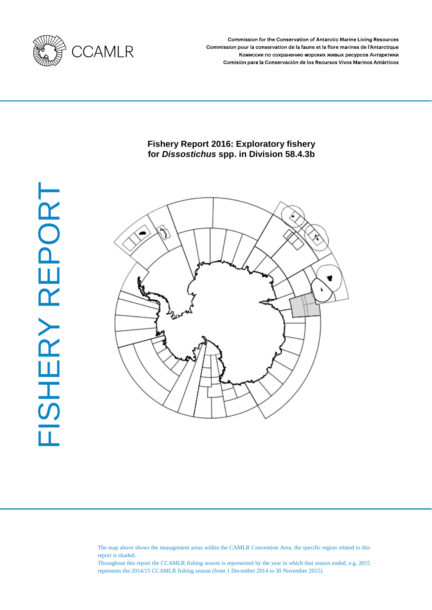

Commission for the Conservation of Antarctic Marine Living Resources Commission pour la conservation de la faune et la flore marines de l'Antarctique Комиссия по сохранению морских живых ресурсов Антарктики Comisión para la Conservación de los Recursos Vivos Marinos Antárticos

### **Fishery Report 2016: Exploratory fishery for** *Dissostichus* **spp. in Division 58.4.3b**



The map above shows the management areas within the CAMLR Convention Area, the specific region related to this report is shaded.

Throughout this report the CCAMLR fishing season is represented by the year in which that season ended, e.g. 2015 represents the 2014/15 CCAMLR fishing season (from 1 December 2014 to 30 November 2015).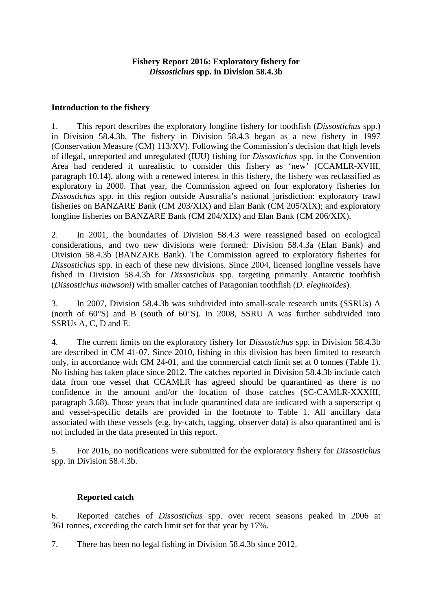### **Fishery Report 2016: Exploratory fishery for**  *Dissostichus* **spp. in Division 58.4.3b**

### **Introduction to the fishery**

1. This report describes the exploratory longline fishery for toothfish (*Dissostichus* spp.) in Division 58.4.3b. The fishery in Division 58.4.3 began as a new fishery in 1997 (Conservation Measure (CM) 113/XV). Following the Commission's decision that high levels of illegal, unreported and unregulated (IUU) fishing for *Dissostichus* spp. in the Convention Area had rendered it unrealistic to consider this fishery as 'new' (CCAMLR-XVIII, paragraph 10.14), along with a renewed interest in this fishery, the fishery was reclassified as exploratory in 2000. That year, the Commission agreed on four exploratory fisheries for *Dissostichus* spp. in this region outside Australia's national jurisdiction: exploratory trawl fisheries on BANZARE Bank (CM 203/XIX) and Elan Bank (CM 205/XIX); and exploratory longline fisheries on BANZARE Bank (CM 204/XIX) and Elan Bank (CM 206/XIX).

2. In 2001, the boundaries of Division 58.4.3 were reassigned based on ecological considerations, and two new divisions were formed: Division 58.4.3a (Elan Bank) and Division 58.4.3b (BANZARE Bank). The Commission agreed to exploratory fisheries for *Dissostichus* spp. in each of these new divisions. Since 2004, licensed longline vessels have fished in Division 58.4.3b for *Dissostichus* spp. targeting primarily Antarctic toothfish (*Dissostichus mawsoni*) with smaller catches of Patagonian toothfish (*D. eleginoides*)*.* 

3. In 2007, Division 58.4.3b was subdivided into small-scale research units (SSRUs) A (north of 60°S) and B (south of 60°S). In 2008, SSRU A was further subdivided into SSRUs A, C, D and E.

4. The current limits on the exploratory fishery for *Dissostichus* spp. in Division 58.4.3b are described in CM 41-07. Since 2010, fishing in this division has been limited to research only, in accordance with CM 24-01, and the commercial catch limit set at 0 tonnes (Table 1). No fishing has taken place since 2012. The catches reported in Division 58.4.3b include catch data from one vessel that CCAMLR has agreed should be quarantined as there is no confidence in the amount and/or the location of those catches (SC-CAMLR-XXXIII, paragraph 3.68). Those years that include quarantined data are indicated with a superscript q and vessel-specific details are provided in the footnote to Table 1. All ancillary data associated with these vessels (e.g. by-catch, tagging, observer data) is also quarantined and is not included in the data presented in this report.

5. For 2016, no notifications were submitted for the exploratory fishery for *Dissostichus* spp. in Division 58.4.3b.

# **Reported catch**

6. Reported catches of *Dissostichus* spp. over recent seasons peaked in 2006 at 361 tonnes, exceeding the catch limit set for that year by 17%.

7. There has been no legal fishing in Division 58.4.3b since 2012.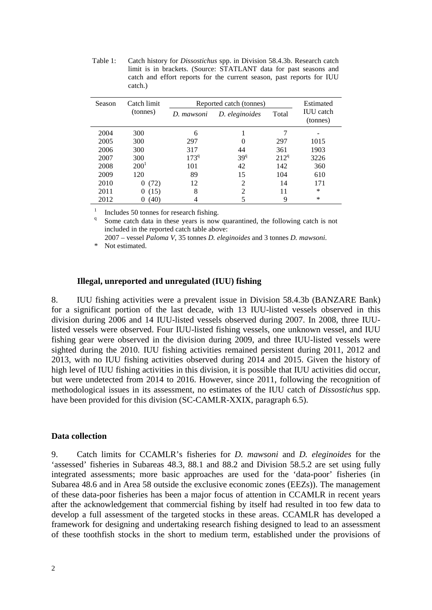Table 1: Catch history for *Dissostichus* spp. in Division 58.4.3b. Research catch limit is in brackets. (Source: STATLANT data for past seasons and catch and effort reports for the current season, past reports for IUU catch.)

| Catch limit<br><b>Season</b> |                  | Reported catch (tonnes)      | Estimated       |                  |                              |  |
|------------------------------|------------------|------------------------------|-----------------|------------------|------------------------------|--|
|                              | (tonnes)         | D. eleginoides<br>D. mawsoni |                 | Total            | <b>IUU</b> catch<br>(tonnes) |  |
| 2004                         | 300              | 6                            |                 |                  |                              |  |
| 2005                         | 300              | 297                          | $\mathbf{0}$    | 297              | 1015                         |  |
| 2006                         | 300              | 317                          | 44              | 361              | 1903                         |  |
| 2007                         | 300              | $173^{9}$                    | 39 <sup>q</sup> | 212 <sup>q</sup> | 3226                         |  |
| 2008                         | 200 <sup>1</sup> | 101                          | 42              | 142              | 360                          |  |
| 2009                         | 120              | 89                           | 15              | 104              | 610                          |  |
| 2010                         | (72)<br>$\theta$ | 12                           | 2               | 14               | 171                          |  |
| 2011                         | (15)<br>0        | 8                            | っ               | 11               | $\ast$                       |  |
| 2012                         | 40)              |                              |                 | 9                | *                            |  |

<sup>1</sup> Includes 50 tonnes for research fishing.<br><sup>q</sup> Some catch data in these years is now quarantined, the following catch is not included in the reported catch table above:

2007 – vessel *Paloma V*, 35 tonnes *D. eleginoides* and 3 tonnes *D. mawsoni*.

\* Not estimated.

### **Illegal, unreported and unregulated (IUU) fishing**

8. IUU fishing activities were a prevalent issue in Division 58.4.3b (BANZARE Bank) for a significant portion of the last decade, with 13 IUU-listed vessels observed in this division during 2006 and 14 IUU-listed vessels observed during 2007. In 2008, three IUUlisted vessels were observed. Four IUU-listed fishing vessels, one unknown vessel, and IUU fishing gear were observed in the division during 2009, and three IUU-listed vessels were sighted during the 2010. IUU fishing activities remained persistent during 2011, 2012 and 2013, with no IUU fishing activities observed during 2014 and 2015. Given the history of high level of IUU fishing activities in this division, it is possible that IUU activities did occur, but were undetected from 2014 to 2016. However, since 2011, following the recognition of methodological issues in its assessment, no estimates of the IUU catch of *Dissostichus* spp. have been provided for this division (SC-CAMLR-XXIX, paragraph 6.5).

#### **Data collection**

9. Catch limits for CCAMLR's fisheries for *D. mawsoni* and *D. eleginoides* for the 'assessed' fisheries in Subareas 48.3, 88.1 and 88.2 and Division 58.5.2 are set using fully integrated assessments; more basic approaches are used for the 'data-poor' fisheries (in Subarea 48.6 and in Area 58 outside the exclusive economic zones (EEZs)). The management of these data-poor fisheries has been a major focus of attention in CCAMLR in recent years after the acknowledgement that commercial fishing by itself had resulted in too few data to develop a full assessment of the targeted stocks in these areas. CCAMLR has developed a framework for designing and undertaking research fishing designed to lead to an assessment of these toothfish stocks in the short to medium term, established under the provisions of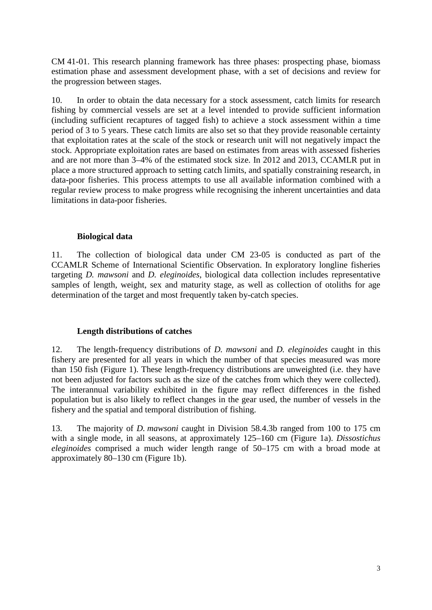CM 41-01. This research planning framework has three phases: prospecting phase, biomass estimation phase and assessment development phase, with a set of decisions and review for the progression between stages.

10. In order to obtain the data necessary for a stock assessment, catch limits for research fishing by commercial vessels are set at a level intended to provide sufficient information (including sufficient recaptures of tagged fish) to achieve a stock assessment within a time period of 3 to 5 years. These catch limits are also set so that they provide reasonable certainty that exploitation rates at the scale of the stock or research unit will not negatively impact the stock. Appropriate exploitation rates are based on estimates from areas with assessed fisheries and are not more than 3–4% of the estimated stock size. In 2012 and 2013, CCAMLR put in place a more structured approach to setting catch limits, and spatially constraining research, in data-poor fisheries. This process attempts to use all available information combined with a regular review process to make progress while recognising the inherent uncertainties and data limitations in data-poor fisheries.

### **Biological data**

11. The collection of biological data under CM 23-05 is conducted as part of the CCAMLR Scheme of International Scientific Observation. In exploratory longline fisheries targeting *D. mawsoni* and *D. eleginoides*, biological data collection includes representative samples of length, weight, sex and maturity stage, as well as collection of otoliths for age determination of the target and most frequently taken by-catch species.

# **Length distributions of catches**

12. The length-frequency distributions of *D. mawsoni* and *D. eleginoides* caught in this fishery are presented for all years in which the number of that species measured was more than 150 fish (Figure 1). These length-frequency distributions are unweighted (i.e. they have not been adjusted for factors such as the size of the catches from which they were collected). The interannual variability exhibited in the figure may reflect differences in the fished population but is also likely to reflect changes in the gear used, the number of vessels in the fishery and the spatial and temporal distribution of fishing.

13. The majority of *D. mawsoni* caught in Division 58.4.3b ranged from 100 to 175 cm with a single mode, in all seasons, at approximately 125–160 cm (Figure 1a). *Dissostichus eleginoides* comprised a much wider length range of 50–175 cm with a broad mode at approximately 80–130 cm (Figure 1b).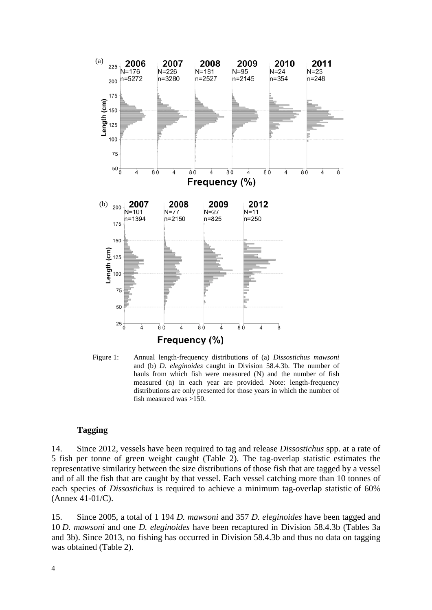![](_page_5_Figure_0.jpeg)

Figure 1: Annual length-frequency distributions of (a) *Dissostichus mawsoni* and (b) *D. eleginoides* caught in Division 58.4.3b. The number of hauls from which fish were measured (N) and the number of fish measured (n) in each year are provided. Note: length-frequency distributions are only presented for those years in which the number of fish measured was >150.

#### **Tagging**

14. Since 2012, vessels have been required to tag and release *Dissostichus* spp. at a rate of 5 fish per tonne of green weight caught (Table 2). The tag-overlap statistic estimates the representative similarity between the size distributions of those fish that are tagged by a vessel and of all the fish that are caught by that vessel. Each vessel catching more than 10 tonnes of each species of *Dissostichus* is required to achieve a minimum tag-overlap statistic of 60% (Annex 41-01/C).

15. Since 2005, a total of 1 194 *D. mawsoni* and 357 *D. eleginoides* have been tagged and 10 *D. mawsoni* and one *D. eleginoides* have been recaptured in Division 58.4.3b (Tables 3a and 3b). Since 2013, no fishing has occurred in Division 58.4.3b and thus no data on tagging was obtained (Table 2).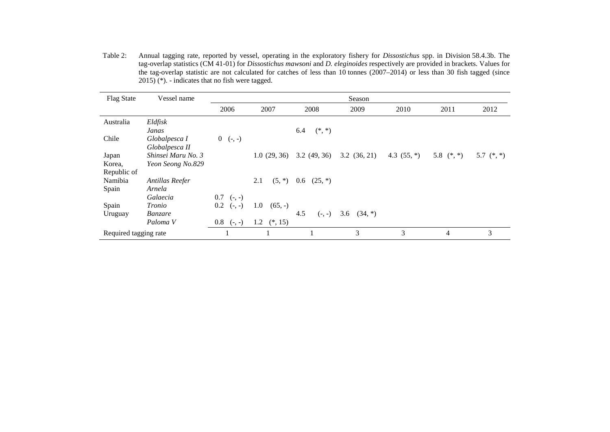Table 2: Annual tagging rate, reported by vessel, operating in the exploratory fishery for *Dissostichus* spp. in Division 58.4.3b. The tag-overlap statistics (CM 41-01) for *Dissostichus mawsoni* and *D. eleginoides* respectively are provided in brackets. Values for the tag-overlap statistic are not calculated for catches of less than 10 tonnes (2007–2014) or less than 30 fish tagged (since  $2015$ <sup>(\*)</sup>. - indicates that no fish were tagged.

| Vessel name                             | Season                                                |                              |                                   |                  |               |              |              |
|-----------------------------------------|-------------------------------------------------------|------------------------------|-----------------------------------|------------------|---------------|--------------|--------------|
|                                         | 2006                                                  | 2007                         | 2008                              | 2009             | 2010          | 2011         | 2012         |
| Eldfisk<br>Janas                        |                                                       |                              | $(*, *)$<br>6.4                   |                  |               |              |              |
| Globalpesca I<br>Globalpesca II         | $0 \quad (-, -)$                                      |                              |                                   |                  |               |              |              |
| Shinsei Maru No. 3<br>Yeon Seong No.829 |                                                       | 1.0(29, 36)                  | 3.2(49, 36)                       | 3.2(36, 21)      | 4.3 $(55, *)$ | 5.8 $(*, *)$ | 5.7 $(*, *)$ |
| Antillas Reefer                         |                                                       | 2.1<br>$(5,*)$               | $0.6$ $(25, *)$                   |                  |               |              |              |
| Galaecia                                | $0.7$ (-, -)                                          |                              |                                   |                  |               |              |              |
| Banzare                                 |                                                       |                              | 4.5<br>$(-, -)$                   | 3.6<br>$(34, *)$ |               |              |              |
|                                         |                                                       |                              |                                   |                  |               |              | 3            |
|                                         | Arnela<br>Tronio<br>Paloma V<br>Required tagging rate | $0.2$ (-, -)<br>$0.8$ (-, -) | 1.0<br>$(65, -)$<br>1.2 $(*, 15)$ |                  | 3             | 3            | 4            |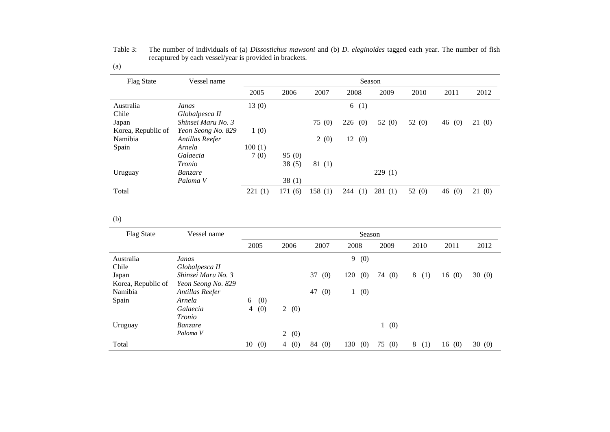| <b>Flag State</b>  | Vessel name        | Season |        |        |            |          |          |          |       |
|--------------------|--------------------|--------|--------|--------|------------|----------|----------|----------|-------|
|                    |                    | 2005   | 2006   | 2007   | 2008       | 2009     | 2010     | 2011     | 2012  |
| Australia          | Janas              | 13(0)  |        |        | (1)<br>6   |          |          |          |       |
| Chile              | Globalpesca II     |        |        |        |            |          |          |          |       |
| Japan              | Shinsei Maru No. 3 |        |        | 75(0)  | 226<br>(0) | 52 $(0)$ | 52 $(0)$ | 46 $(0)$ | 21(0) |
| Korea, Republic of | Yeon Seong No. 829 | 1(0)   |        |        |            |          |          |          |       |
| Namibia            | Antillas Reefer    |        |        | 2(0)   | (0)<br>12  |          |          |          |       |
| Spain              | Arnela             | 100(1) |        |        |            |          |          |          |       |
|                    | Galaecia           | 7(0)   | 95(0)  |        |            |          |          |          |       |
|                    | Tronio             |        | 38(5)  | 81(1)  |            |          |          |          |       |
| Uruguay            | <i>Banzare</i>     |        |        |        |            | 229(1)   |          |          |       |
|                    | Paloma V           |        | 38(1)  |        |            |          |          |          |       |
| Total              |                    | 221(1) | 171(6) | 158(1) | 244<br>(1) | 281(1)   | 52 $(0)$ | 46(0)    | 21(0) |

Table 3: The number of individuals of (a) *Dissostichus mawsoni* and (b) *D. eleginoides* tagged each year. The number of fish recaptured by each vessel/year is provided in brackets. (a)

 $(b)$ 

| <b>Flag State</b>  | Vessel name        | Season                |                       |           |            |           |          |       |       |
|--------------------|--------------------|-----------------------|-----------------------|-----------|------------|-----------|----------|-------|-------|
|                    |                    | 2005                  | 2006                  | 2007      | 2008       | 2009      | 2010     | 2011  | 2012  |
| Australia          | Janas              |                       |                       |           | 9<br>(0)   |           |          |       |       |
| Chile              | Globalpesca II     |                       |                       |           |            |           |          |       |       |
| Japan              | Shinsei Maru No. 3 |                       |                       | 37<br>(0) | 120<br>(0) | 74<br>(0) | 8<br>(1) | 16(0) | 30(0) |
| Korea, Republic of | Yeon Seong No. 829 |                       |                       |           |            |           |          |       |       |
| Namibia            | Antillas Reefer    |                       |                       | 47<br>(0) | (0)        |           |          |       |       |
| Spain              | Arnela             | (0)<br>6              |                       |           |            |           |          |       |       |
|                    | Galaecia           | (0)<br>$\overline{4}$ | 2(0)                  |           |            |           |          |       |       |
|                    | Tronio             |                       |                       |           |            |           |          |       |       |
| Uruguay            | <i>Banzare</i>     |                       |                       |           |            | 1(0)      |          |       |       |
|                    | Paloma V           |                       | $\overline{2}$<br>(0) |           |            |           |          |       |       |
| Total              |                    | 10<br>(0)             | 4 $(0)$               | 84<br>(0) | 130<br>(0) | 75<br>(0) | 8<br>(1) | 16(0) | 30(0) |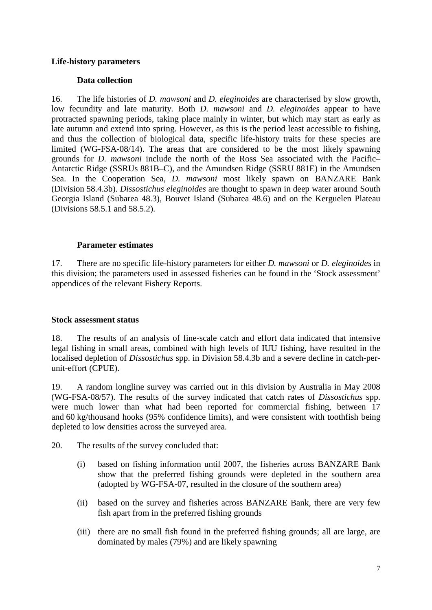#### **Life-history parameters**

## **Data collection**

16. The life histories of *D. mawsoni* and *D. eleginoides* are characterised by slow growth, low fecundity and late maturity. Both *D. mawsoni* and *D. eleginoides* appear to have protracted spawning periods, taking place mainly in winter, but which may start as early as late autumn and extend into spring. However, as this is the period least accessible to fishing, and thus the collection of biological data, specific life-history traits for these species are limited (WG-FSA-08/14). The areas that are considered to be the most likely spawning grounds for *D. mawsoni* include the north of the Ross Sea associated with the Pacific– Antarctic Ridge (SSRUs 881B–C), and the Amundsen Ridge (SSRU 881E) in the Amundsen Sea. In the Cooperation Sea, *D. mawsoni* most likely spawn on BANZARE Bank (Division 58.4.3b). *Dissostichus eleginoides* are thought to spawn in deep water around South Georgia Island (Subarea 48.3), Bouvet Island (Subarea 48.6) and on the Kerguelen Plateau (Divisions 58.5.1 and 58.5.2).

### **Parameter estimates**

17. There are no specific life-history parameters for either *D. mawsoni* or *D. eleginoides* in this division; the parameters used in assessed fisheries can be found in the 'Stock assessment' appendices of the relevant Fishery Reports.

#### **Stock assessment status**

18. The results of an analysis of fine-scale catch and effort data indicated that intensive legal fishing in small areas, combined with high levels of IUU fishing, have resulted in the localised depletion of *Dissostichus* spp. in Division 58.4.3b and a severe decline in catch-perunit-effort (CPUE).

19. A random longline survey was carried out in this division by Australia in May 2008 (WG-FSA-08/57). The results of the survey indicated that catch rates of *Dissostichus* spp. were much lower than what had been reported for commercial fishing, between 17 and 60 kg/thousand hooks (95% confidence limits), and were consistent with toothfish being depleted to low densities across the surveyed area.

20. The results of the survey concluded that:

- (i) based on fishing information until 2007, the fisheries across BANZARE Bank show that the preferred fishing grounds were depleted in the southern area (adopted by WG-FSA-07, resulted in the closure of the southern area)
- (ii) based on the survey and fisheries across BANZARE Bank, there are very few fish apart from in the preferred fishing grounds
- (iii) there are no small fish found in the preferred fishing grounds; all are large, are dominated by males (79%) and are likely spawning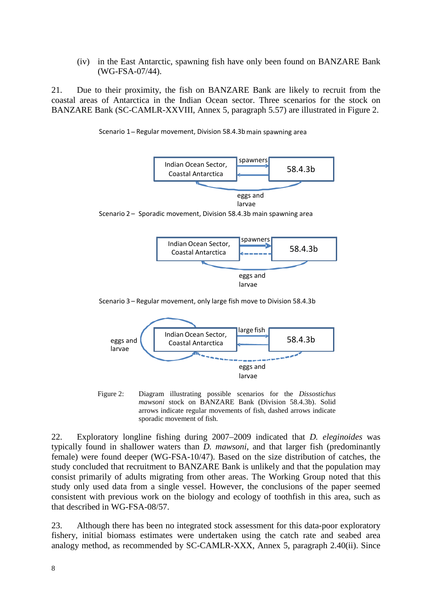(iv) in the East Antarctic, spawning fish have only been found on BANZARE Bank (WG-FSA-07/44).

21. Due to their proximity, the fish on BANZARE Bank are likely to recruit from the coastal areas of Antarctica in the Indian Ocean sector. Three scenarios for the stock on BANZARE Bank (SC-CAMLR-XXVIII, Annex 5, paragraph 5.57) are illustrated in Figure 2.

![](_page_9_Figure_2.jpeg)

Scenario 1 – Regular movement, Division 58.4.3b main spawning area

Scenario 3 – Regular movement, only large fish move to Division 58.4.3b

![](_page_9_Figure_5.jpeg)

![](_page_9_Figure_6.jpeg)

22. Exploratory longline fishing during 2007–2009 indicated that *D. eleginoides* was typically found in shallower waters than *D. mawsoni*, and that larger fish (predominantly female) were found deeper (WG-FSA-10/47). Based on the size distribution of catches, the study concluded that recruitment to BANZARE Bank is unlikely and that the population may consist primarily of adults migrating from other areas. The Working Group noted that this study only used data from a single vessel. However, the conclusions of the paper seemed consistent with previous work on the biology and ecology of toothfish in this area, such as that described in WG-FSA-08/57.

23. Although there has been no integrated stock assessment for this data-poor exploratory fishery, initial biomass estimates were undertaken using the catch rate and seabed area analogy method, as recommended by SC-CAMLR-XXX, Annex 5, paragraph 2.40(ii). Since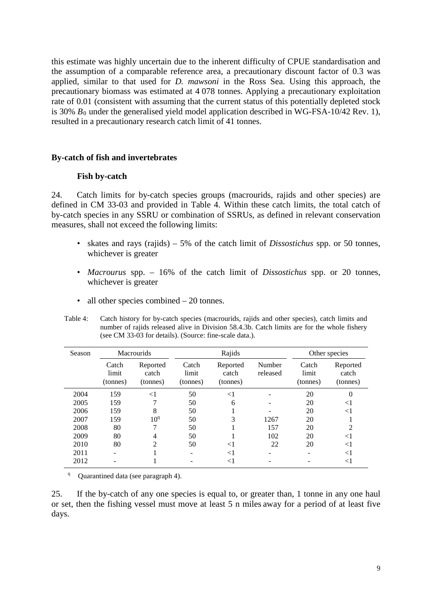this estimate was highly uncertain due to the inherent difficulty of CPUE standardisation and the assumption of a comparable reference area, a precautionary discount factor of 0.3 was applied, similar to that used for *D. mawsoni* in the Ross Sea. Using this approach, the precautionary biomass was estimated at 4 078 tonnes. Applying a precautionary exploitation rate of 0.01 (consistent with assuming that the current status of this potentially depleted stock is 30%  $B_0$  under the generalised yield model application described in WG-FSA-10/42 Rev. 1), resulted in a precautionary research catch limit of 41 tonnes.

#### **By-catch of fish and invertebrates**

#### **Fish by-catch**

24. Catch limits for by-catch species groups (macrourids, rajids and other species) are defined in CM 33-03 and provided in Table 4. Within these catch limits, the total catch of by-catch species in any SSRU or combination of SSRUs, as defined in relevant conservation measures, shall not exceed the following limits:

- skates and rays (rajids) 5% of the catch limit of *Dissostichus* spp. or 50 tonnes, whichever is greater
- *Macrourus* spp. 16% of the catch limit of *Dissostichus* spp. or 20 tonnes, whichever is greater
- all other species combined 20 tonnes.

Table 4: Catch history for by-catch species (macrourids, rajids and other species), catch limits and number of rajids released alive in Division 58.4.3b. Catch limits are for the whole fishery (see CM 33-03 for details). (Source: fine-scale data.).

| Season | <b>Macrourids</b>          |                               |                            | Rajids                        | Other species      |                            |                               |
|--------|----------------------------|-------------------------------|----------------------------|-------------------------------|--------------------|----------------------------|-------------------------------|
|        | Catch<br>limit<br>(tonnes) | Reported<br>catch<br>(tonnes) | Catch<br>limit<br>(tonnes) | Reported<br>catch<br>(tonnes) | Number<br>released | Catch<br>limit<br>(tonnes) | Reported<br>catch<br>(tonnes) |
| 2004   | 159                        | $<$ 1                         | 50                         | $<$ 1                         |                    | 20                         |                               |
| 2005   | 159                        | ┑                             | 50                         | 6                             |                    | 20                         | $<$ l                         |
| 2006   | 159                        | 8                             | 50                         |                               |                    | 20                         | $<$ 1                         |
| 2007   | 159                        | 10 <sup>q</sup>               | 50                         | 3                             | 1267               | 20                         |                               |
| 2008   | 80                         | 7                             | 50                         |                               | 157                | 20                         | $\mathfrak{D}$                |
| 2009   | 80                         | 4                             | 50                         |                               | 102                | 20                         | $<$ 1                         |
| 2010   | 80                         | $\overline{2}$                | 50                         | $\leq$ 1                      | 22                 | 20                         | $<$ 1                         |
| 2011   |                            |                               |                            | $<$ 1                         |                    |                            | $<$ 1                         |
| 2012   |                            |                               |                            | <1                            |                    |                            | $<$ l                         |

q Quarantined data (see paragraph 4).

25. If the by-catch of any one species is equal to, or greater than, 1 tonne in any one haul or set, then the fishing vessel must move at least 5 n miles away for a period of at least five days.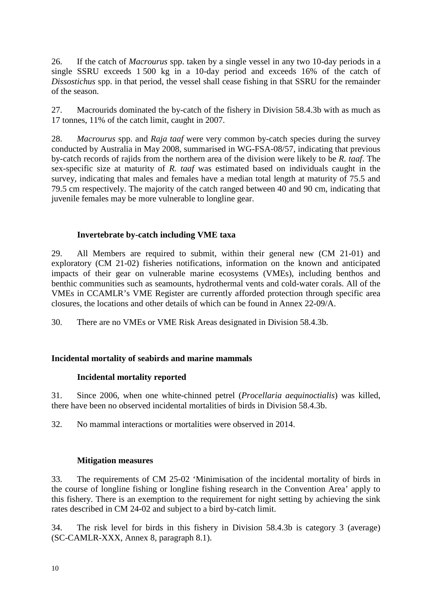26. If the catch of *Macrourus* spp. taken by a single vessel in any two 10-day periods in a single SSRU exceeds 1 500 kg in a 10-day period and exceeds 16% of the catch of *Dissostichus* spp. in that period, the vessel shall cease fishing in that SSRU for the remainder of the season.

27. Macrourids dominated the by-catch of the fishery in Division 58.4.3b with as much as 17 tonnes, 11% of the catch limit, caught in 2007.

28. *Macrourus* spp. and *Raja taaf* were very common by-catch species during the survey conducted by Australia in May 2008, summarised in WG-FSA-08/57, indicating that previous by-catch records of rajids from the northern area of the division were likely to be *R. taaf*. The sex-specific size at maturity of *R. taaf* was estimated based on individuals caught in the survey, indicating that males and females have a median total length at maturity of 75.5 and 79.5 cm respectively. The majority of the catch ranged between 40 and 90 cm, indicating that juvenile females may be more vulnerable to longline gear.

# **Invertebrate by-catch including VME taxa**

29. All Members are required to submit, within their general new (CM 21-01) and exploratory (CM 21-02) fisheries notifications, information on the known and anticipated impacts of their gear on vulnerable marine ecosystems (VMEs), including benthos and benthic communities such as seamounts, hydrothermal vents and cold-water corals. All of the VMEs in CCAMLR's VME Register are currently afforded protection through specific area closures, the locations and other details of which can be found in Annex 22-09/A.

30. There are no VMEs or VME Risk Areas designated in Division 58.4.3b.

# **Incidental mortality of seabirds and marine mammals**

# **Incidental mortality reported**

31. Since 2006, when one white-chinned petrel (*Procellaria aequinoctialis*) was killed, there have been no observed incidental mortalities of birds in Division 58.4.3b.

32. No mammal interactions or mortalities were observed in 2014.

# **Mitigation measures**

33. The requirements of CM 25-02 'Minimisation of the incidental mortality of birds in the course of longline fishing or longline fishing research in the Convention Area' apply to this fishery. There is an exemption to the requirement for night setting by achieving the sink rates described in CM 24-02 and subject to a bird by-catch limit.

34. The risk level for birds in this fishery in Division 58.4.3b is category 3 (average) (SC-CAMLR-XXX, Annex 8, paragraph 8.1).